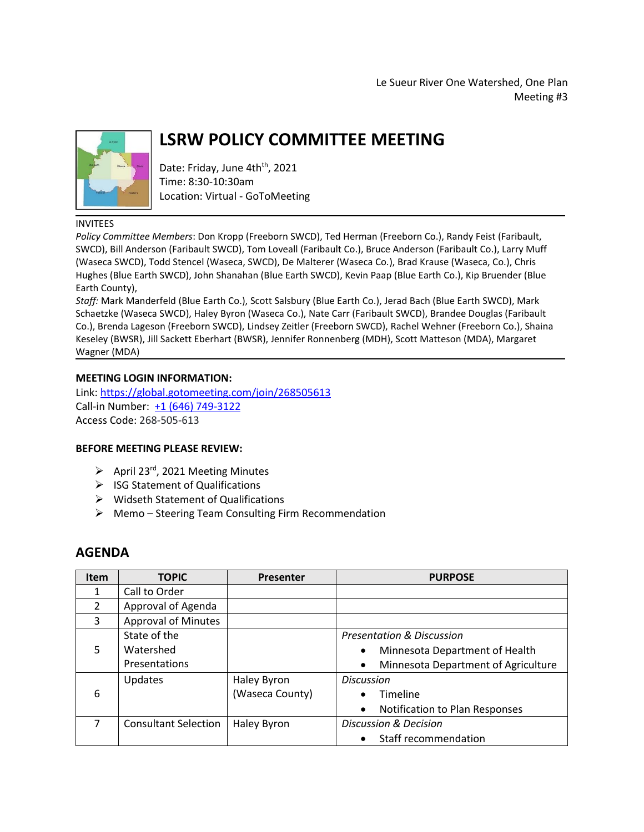Le Sueur River One Watershed, One Plan Meeting #3



# **LSRW POLICY COMMITTEE MEETING**

Date: Friday, June 4th<sup>th</sup>, 2021 Time: 8:30-10:30am Location: Virtual - GoToMeeting

### INVITEES

*Policy Committee Members*: Don Kropp (Freeborn SWCD), Ted Herman (Freeborn Co.), Randy Feist (Faribault, SWCD), Bill Anderson (Faribault SWCD), Tom Loveall (Faribault Co.), Bruce Anderson (Faribault Co.), Larry Muff (Waseca SWCD), Todd Stencel (Waseca, SWCD), De Malterer (Waseca Co.), Brad Krause (Waseca, Co.), Chris Hughes (Blue Earth SWCD), John Shanahan (Blue Earth SWCD), Kevin Paap (Blue Earth Co.), Kip Bruender (Blue Earth County),

*Staff:* Mark Manderfeld (Blue Earth Co.), Scott Salsbury (Blue Earth Co.), Jerad Bach (Blue Earth SWCD), Mark Schaetzke (Waseca SWCD), Haley Byron (Waseca Co.), Nate Carr (Faribault SWCD), Brandee Douglas (Faribault Co.), Brenda Lageson (Freeborn SWCD), Lindsey Zeitler (Freeborn SWCD), Rachel Wehner (Freeborn Co.), Shaina Keseley (BWSR), Jill Sackett Eberhart (BWSR), Jennifer Ronnenberg (MDH), Scott Matteson (MDA), Margaret Wagner (MDA)

## **MEETING LOGIN INFORMATION:**

Link:<https://global.gotomeeting.com/join/268505613> Call-in Number: [+1 \(646\) 749-3122](tel:+16467493122,,268505613) Access Code: 268-505-613

### **BEFORE MEETING PLEASE REVIEW:**

- $\triangleright$  April 23<sup>rd</sup>, 2021 Meeting Minutes
- $\triangleright$  ISG Statement of Qualifications
- $\triangleright$  Widseth Statement of Qualifications
- Memo Steering Team Consulting Firm Recommendation

## **AGENDA**

| Item | <b>TOPIC</b>                | <b>Presenter</b> | <b>PURPOSE</b>                                   |
|------|-----------------------------|------------------|--------------------------------------------------|
| 1    | Call to Order               |                  |                                                  |
| 2    | Approval of Agenda          |                  |                                                  |
| 3    | <b>Approval of Minutes</b>  |                  |                                                  |
| 5    | State of the                |                  | <b>Presentation &amp; Discussion</b>             |
|      | Watershed                   |                  | Minnesota Department of Health<br>$\bullet$      |
|      | Presentations               |                  | Minnesota Department of Agriculture<br>$\bullet$ |
| 6    | <b>Updates</b>              | Haley Byron      | <b>Discussion</b>                                |
|      |                             | (Waseca County)  | Timeline<br>٠                                    |
|      |                             |                  | Notification to Plan Responses<br>$\bullet$      |
|      | <b>Consultant Selection</b> | Haley Byron      | Discussion & Decision                            |
|      |                             |                  | Staff recommendation<br>$\bullet$                |